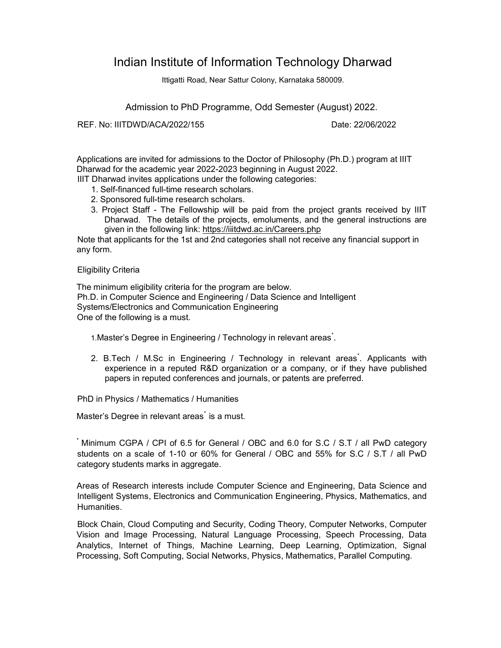# Indian Institute of Information Technology Dharwad

Ittigatti Road, Near Sattur Colony, Karnataka 580009.

Admission to PhD Programme, Odd Semester (August) 2022.

REF. No: IIITDWD/ACA/2022/155 Date: 22/06/2022

Applications are invited for admissions to the Doctor of Philosophy (Ph.D.) program at IIIT Dharwad for the academic year 2022-2023 beginning in August 2022.

IIIT Dharwad invites applications under the following categories:

- 1. Self-financed full-time research scholars.
- 2. Sponsored full-time research scholars.
- 3. Project Staff The Fellowship will be paid from the project grants received by IIIT Dharwad. The details of the projects, emoluments, and the general instructions are given in the following link: https://iiitdwd.ac.in/Careers.php

Note that applicants for the 1st and 2nd categories shall not receive any financial support in any form.

# Eligibility Criteria

The minimum eligibility criteria for the program are below. Ph.D. in Computer Science and Engineering / Data Science and Intelligent Systems/Electronics and Communication Engineering One of the following is a must.

1. Master's Degree in Engineering / Technology in relevant areas<sup>\*</sup>.

2. B.Tech / M.Sc in Engineering / Technology in relevant areas<sup>\*</sup>. Applicants with experience in a reputed R&D organization or a company, or if they have published papers in reputed conferences and journals, or patents are preferred.

PhD in Physics / Mathematics / Humanities

Master's Degree in relevant areas<sup>\*</sup> is a must.

\* Minimum CGPA / CPI of 6.5 for General / OBC and 6.0 for S.C / S.T / all PwD category students on a scale of 1-10 or 60% for General / OBC and 55% for S.C / S.T / all PwD category students marks in aggregate.

Areas of Research interests include Computer Science and Engineering, Data Science and Intelligent Systems, Electronics and Communication Engineering, Physics, Mathematics, and Humanities.

Block Chain, Cloud Computing and Security, Coding Theory, Computer Networks, Computer Vision and Image Processing, Natural Language Processing, Speech Processing, Data Analytics, Internet of Things, Machine Learning, Deep Learning, Optimization, Signal Processing, Soft Computing, Social Networks, Physics, Mathematics, Parallel Computing.